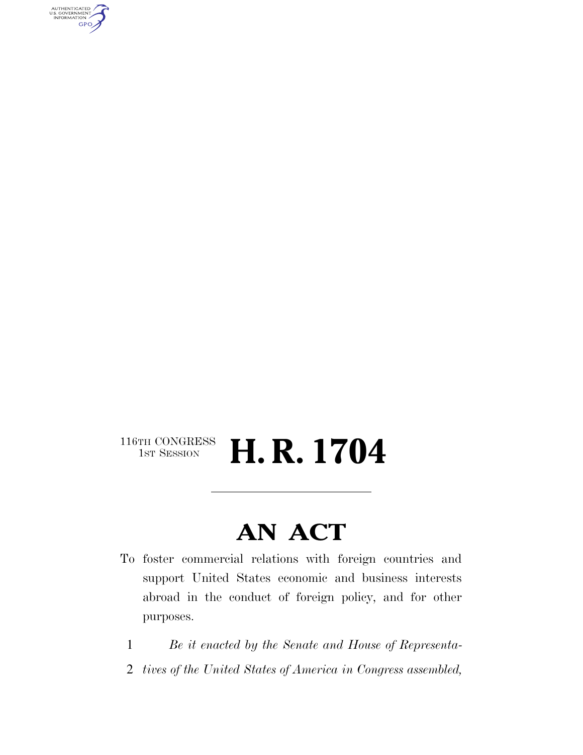AUTHENTICATED<br>U.S. GOVERNMENT<br>INFORMATION **GPO** 

#### $\begin{array}{c} \textbf{116TH CONGRESS} \\ \textbf{1ST SESION} \end{array}$ H. R. 1704

## **AN ACT**

- To foster commercial relations with foreign countries and support United States economic and business interests abroad in the conduct of foreign policy, and for other purposes.
	- 1 *Be it enacted by the Senate and House of Representa-*
	- 2 *tives of the United States of America in Congress assembled,*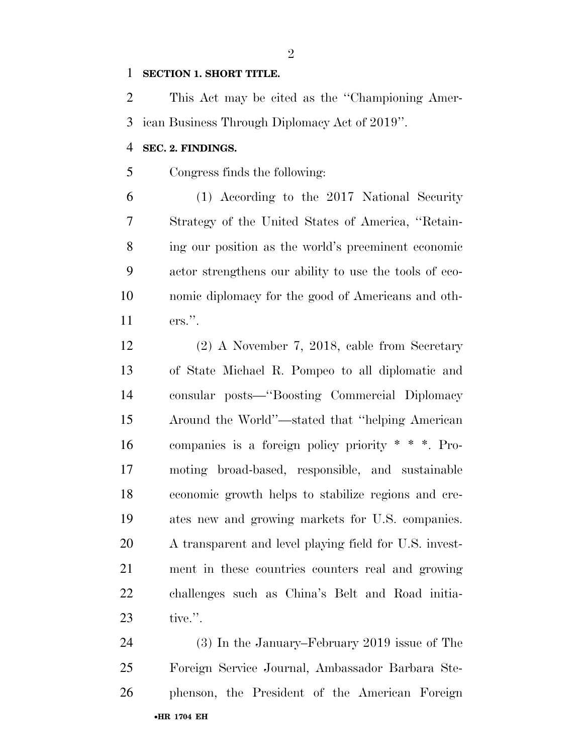#### **SECTION 1. SHORT TITLE.**

 This Act may be cited as the ''Championing Amer-ican Business Through Diplomacy Act of 2019''.

#### **SEC. 2. FINDINGS.**

Congress finds the following:

 (1) According to the 2017 National Security Strategy of the United States of America, ''Retain- ing our position as the world's preeminent economic actor strengthens our ability to use the tools of eco- nomic diplomacy for the good of Americans and oth-ers.''.

 (2) A November 7, 2018, cable from Secretary of State Michael R. Pompeo to all diplomatic and consular posts—''Boosting Commercial Diplomacy Around the World''—stated that ''helping American companies is a foreign policy priority \* \* \*. Pro- moting broad-based, responsible, and sustainable economic growth helps to stabilize regions and cre- ates new and growing markets for U.S. companies. A transparent and level playing field for U.S. invest- ment in these countries counters real and growing challenges such as China's Belt and Road initia-tive.''.

•**HR 1704 EH** (3) In the January–February 2019 issue of The Foreign Service Journal, Ambassador Barbara Ste-phenson, the President of the American Foreign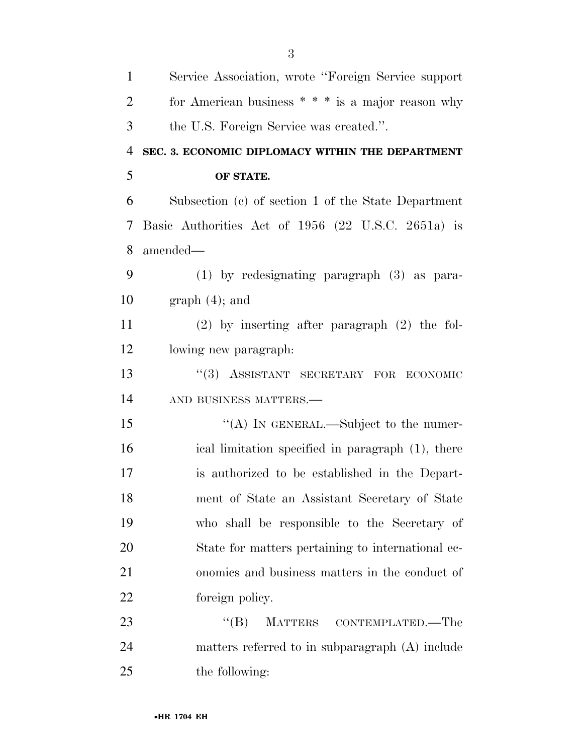| $\mathbf{1}$   | Service Association, wrote "Foreign Service support" |
|----------------|------------------------------------------------------|
| $\overline{2}$ | for American business $**$ is a major reason why     |
| 3              | the U.S. Foreign Service was created.".              |
| $\overline{4}$ | SEC. 3. ECONOMIC DIPLOMACY WITHIN THE DEPARTMENT     |
| 5              | OF STATE.                                            |
| 6              | Subsection (c) of section 1 of the State Department  |
| 7              | Basic Authorities Act of 1956 (22 U.S.C. 2651a) is   |
| 8              | amended-                                             |
| 9              | $(1)$ by redesignating paragraph $(3)$ as para-      |
| 10             | $graph(4)$ ; and                                     |
| 11             | $(2)$ by inserting after paragraph $(2)$ the fol-    |
| 12             | lowing new paragraph.                                |
| 13             | "(3) ASSISTANT SECRETARY FOR ECONOMIC                |
| 14             | AND BUSINESS MATTERS.-                               |
| 15             | "(A) IN GENERAL.—Subject to the numer-               |
| 16             | ical limitation specified in paragraph (1), there    |
| 17             | is authorized to be established in the Depart-       |
| 18             | ment of State an Assistant Secretary of State        |
| 19             | who shall be responsible to the Secretary of         |
| 20             | State for matters pertaining to international ec-    |
| 21             | onomics and business matters in the conduct of       |
| 22             | foreign policy.                                      |
| 23             | ``(B)<br>MATTERS CONTEMPLATED.—The                   |
| 24             | matters referred to in subparagraph (A) include      |
| 25             | the following:                                       |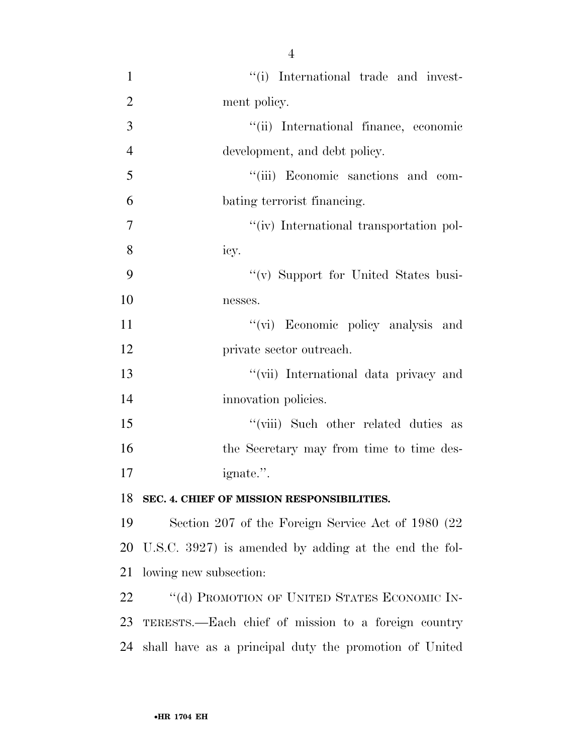$\frac{1}{1}$  '(i) International trade and invest- ment policy. ''(ii) International finance, economic development, and debt policy. ''(iii) Economic sanctions and com- bating terrorist financing.  $''(iv)$  International transportation pol- icy. 9 "(v) Support for United States busi- nesses. 11 ''(vi) Economic policy analysis and private sector outreach. ''(vii) International data privacy and 14 innovation policies. 15 ''(viii) Such other related duties as 16 the Secretary may from time to time des- ignate.''. **SEC. 4. CHIEF OF MISSION RESPONSIBILITIES.** 

 Section 207 of the Foreign Service Act of 1980 (22 U.S.C. 3927) is amended by adding at the end the fol-lowing new subsection:

22 "(d) PROMOTION OF UNITED STATES ECONOMIC IN- TERESTS.—Each chief of mission to a foreign country shall have as a principal duty the promotion of United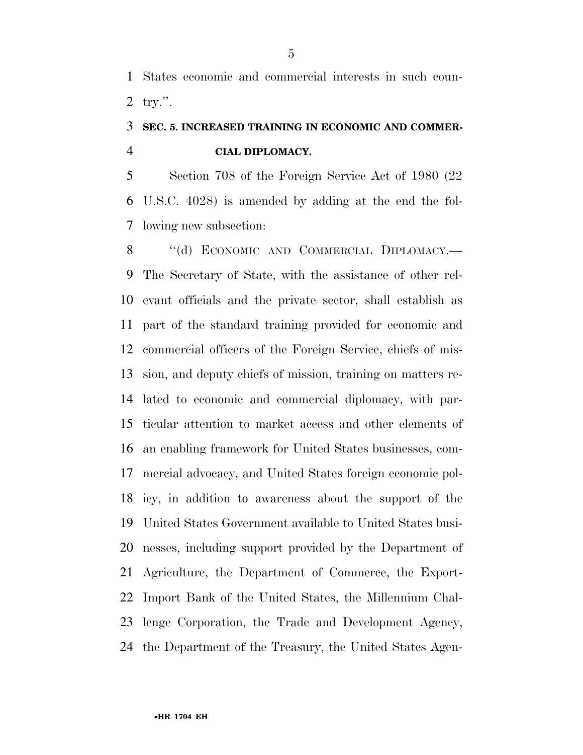States economic and commercial interests in such coun-try.''.

### **SEC. 5. INCREASED TRAINING IN ECONOMIC AND COMMER-CIAL DIPLOMACY.**

 Section 708 of the Foreign Service Act of 1980 (22 U.S.C. 4028) is amended by adding at the end the fol-lowing new subsection:

8 "(d) ECONOMIC AND COMMERCIAL DIPLOMACY.— The Secretary of State, with the assistance of other rel- evant officials and the private sector, shall establish as part of the standard training provided for economic and commercial officers of the Foreign Service, chiefs of mis- sion, and deputy chiefs of mission, training on matters re- lated to economic and commercial diplomacy, with par- ticular attention to market access and other elements of an enabling framework for United States businesses, com- mercial advocacy, and United States foreign economic pol- icy, in addition to awareness about the support of the United States Government available to United States busi- nesses, including support provided by the Department of Agriculture, the Department of Commerce, the Export- Import Bank of the United States, the Millennium Chal- lenge Corporation, the Trade and Development Agency, the Department of the Treasury, the United States Agen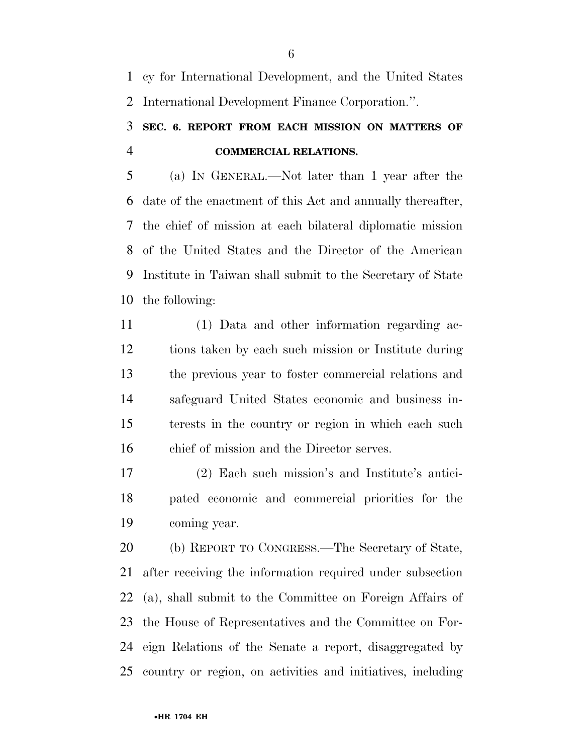cy for International Development, and the United States International Development Finance Corporation.''.

### **SEC. 6. REPORT FROM EACH MISSION ON MATTERS OF COMMERCIAL RELATIONS.**

 (a) IN GENERAL.—Not later than 1 year after the date of the enactment of this Act and annually thereafter, the chief of mission at each bilateral diplomatic mission of the United States and the Director of the American Institute in Taiwan shall submit to the Secretary of State the following:

 (1) Data and other information regarding ac- tions taken by each such mission or Institute during the previous year to foster commercial relations and safeguard United States economic and business in- terests in the country or region in which each such chief of mission and the Director serves.

 (2) Each such mission's and Institute's antici- pated economic and commercial priorities for the coming year.

 (b) REPORT TO CONGRESS.—The Secretary of State, after receiving the information required under subsection (a), shall submit to the Committee on Foreign Affairs of the House of Representatives and the Committee on For- eign Relations of the Senate a report, disaggregated by country or region, on activities and initiatives, including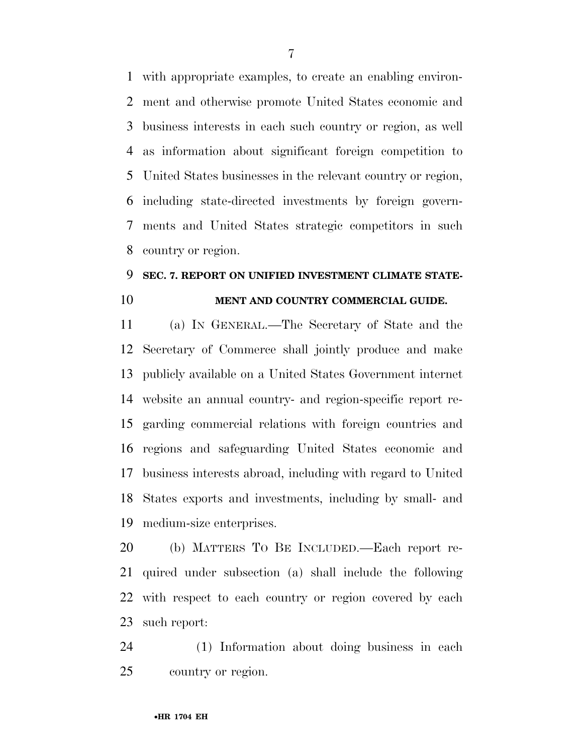with appropriate examples, to create an enabling environ- ment and otherwise promote United States economic and business interests in each such country or region, as well as information about significant foreign competition to United States businesses in the relevant country or region, including state-directed investments by foreign govern- ments and United States strategic competitors in such country or region.

#### **SEC. 7. REPORT ON UNIFIED INVESTMENT CLIMATE STATE-MENT AND COUNTRY COMMERCIAL GUIDE.**

 (a) IN GENERAL.—The Secretary of State and the Secretary of Commerce shall jointly produce and make publicly available on a United States Government internet website an annual country- and region-specific report re- garding commercial relations with foreign countries and regions and safeguarding United States economic and business interests abroad, including with regard to United States exports and investments, including by small- and medium-size enterprises.

 (b) MATTERS TO BE INCLUDED.—Each report re- quired under subsection (a) shall include the following with respect to each country or region covered by each such report:

 (1) Information about doing business in each country or region.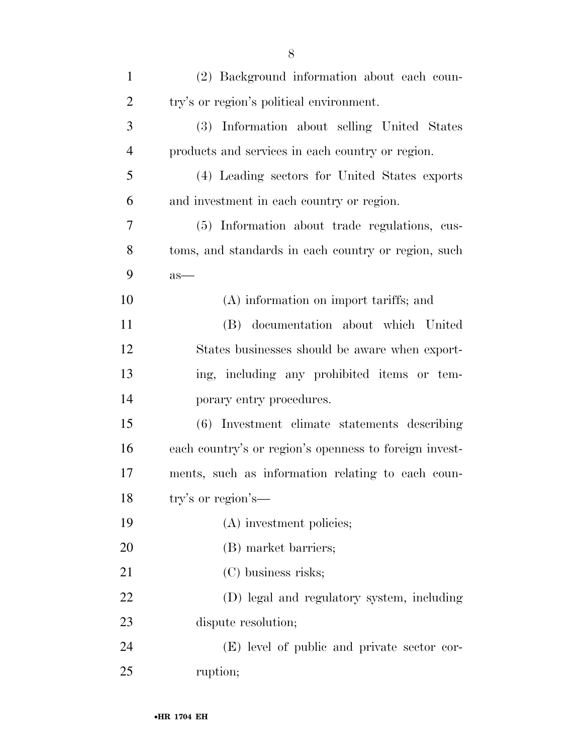| $\mathbf{1}$   | (2) Background information about each coun-            |
|----------------|--------------------------------------------------------|
| $\overline{2}$ | try's or region's political environment.               |
| 3              | (3) Information about selling United States            |
| $\overline{4}$ | products and services in each country or region.       |
| 5              | (4) Leading sectors for United States exports          |
| 6              | and investment in each country or region.              |
| 7              | (5) Information about trade regulations, cus-          |
| 8              | toms, and standards in each country or region, such    |
| 9              | $as-$                                                  |
| 10             | (A) information on import tariffs; and                 |
| 11             | (B) documentation about which United                   |
| 12             | States businesses should be aware when export-         |
| 13             | ing, including any prohibited items or tem-            |
| 14             | porary entry procedures.                               |
| 15             | (6) Investment climate statements describing           |
| 16             | each country's or region's openness to foreign invest- |
| 17             | ments, such as information relating to each coun-      |
| 18             | try's or region's-                                     |
| 19             | (A) investment policies;                               |
| 20             | (B) market barriers;                                   |
| 21             | (C) business risks;                                    |
| 22             | (D) legal and regulatory system, including             |
| 23             | dispute resolution;                                    |
| 24             | (E) level of public and private sector cor-            |
| 25             | ruption;                                               |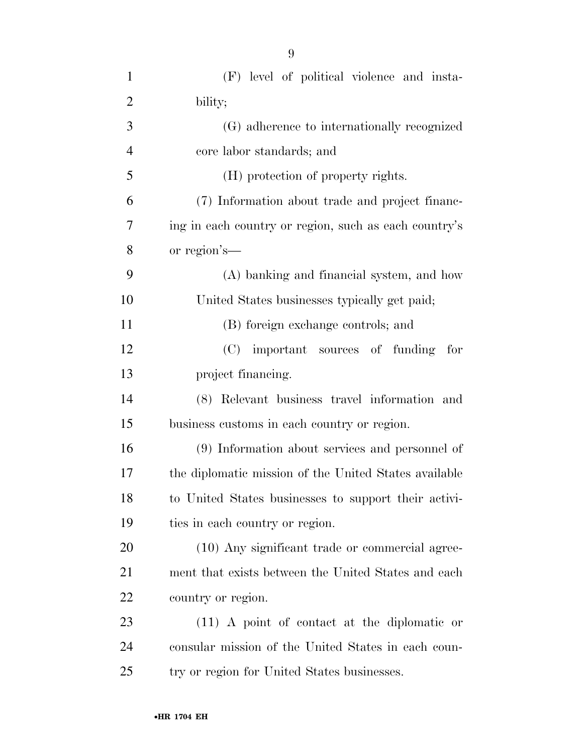| $\mathbf{1}$   | (F) level of political violence and insta-            |
|----------------|-------------------------------------------------------|
| $\overline{2}$ | bility;                                               |
| 3              | (G) adherence to internationally recognized           |
| $\overline{4}$ | core labor standards; and                             |
| 5              | (H) protection of property rights.                    |
| 6              | (7) Information about trade and project financ-       |
| 7              | ing in each country or region, such as each country's |
| 8              | or region's—                                          |
| 9              | (A) banking and financial system, and how             |
| 10             | United States businesses typically get paid;          |
| 11             | (B) foreign exchange controls; and                    |
| 12             | (C) important sources of funding<br>for               |
| 13             | project financing.                                    |
| 14             | (8) Relevant business travel information and          |
| 15             | business customs in each country or region.           |
| 16             | (9) Information about services and personnel of       |
| 17             | the diplomatic mission of the United States available |
| 18             | to United States businesses to support their activi-  |
| 19             | ties in each country or region.                       |
| 20             | (10) Any significant trade or commercial agree-       |
| 21             | ment that exists between the United States and each   |
| 22             | country or region.                                    |
| 23             | $(11)$ A point of contact at the diplomatic or        |
| 24             | consular mission of the United States in each coun-   |
| 25             | try or region for United States businesses.           |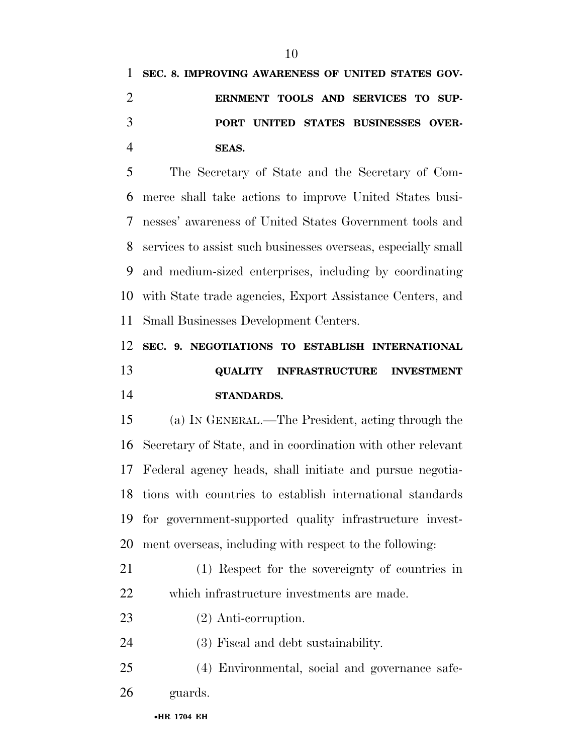**SEC. 8. IMPROVING AWARENESS OF UNITED STATES GOV- ERNMENT TOOLS AND SERVICES TO SUP- PORT UNITED STATES BUSINESSES OVER-SEAS.** 

 The Secretary of State and the Secretary of Com- merce shall take actions to improve United States busi- nesses' awareness of United States Government tools and services to assist such businesses overseas, especially small and medium-sized enterprises, including by coordinating with State trade agencies, Export Assistance Centers, and Small Businesses Development Centers.

 **SEC. 9. NEGOTIATIONS TO ESTABLISH INTERNATIONAL QUALITY INFRASTRUCTURE INVESTMENT STANDARDS.** 

 (a) IN GENERAL.—The President, acting through the Secretary of State, and in coordination with other relevant Federal agency heads, shall initiate and pursue negotia- tions with countries to establish international standards for government-supported quality infrastructure invest-ment overseas, including with respect to the following:

 (1) Respect for the sovereignty of countries in which infrastructure investments are made.

- (2) Anti-corruption.
- (3) Fiscal and debt sustainability.
- (4) Environmental, social and governance safe-guards.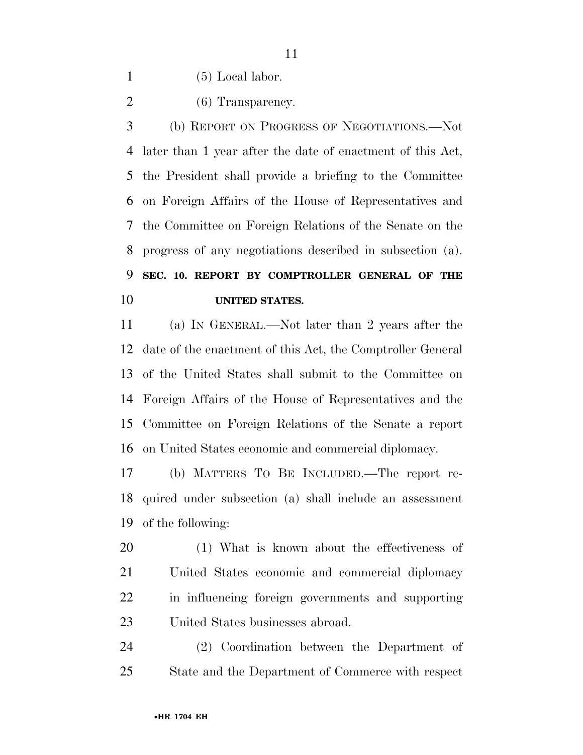(5) Local labor.

2 (6) Transparency.

 (b) REPORT ON PROGRESS OF NEGOTIATIONS.—Not later than 1 year after the date of enactment of this Act, the President shall provide a briefing to the Committee on Foreign Affairs of the House of Representatives and the Committee on Foreign Relations of the Senate on the progress of any negotiations described in subsection (a). **SEC. 10. REPORT BY COMPTROLLER GENERAL OF THE UNITED STATES.** 

 (a) IN GENERAL.—Not later than 2 years after the date of the enactment of this Act, the Comptroller General of the United States shall submit to the Committee on Foreign Affairs of the House of Representatives and the Committee on Foreign Relations of the Senate a report on United States economic and commercial diplomacy.

 (b) MATTERS TO BE INCLUDED.—The report re- quired under subsection (a) shall include an assessment of the following:

 (1) What is known about the effectiveness of United States economic and commercial diplomacy in influencing foreign governments and supporting United States businesses abroad.

 (2) Coordination between the Department of State and the Department of Commerce with respect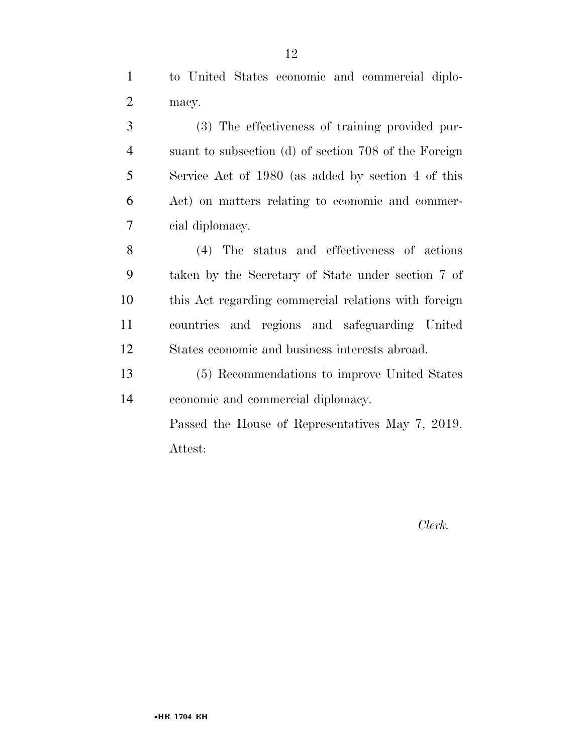to United States economic and commercial diplo-macy.

 (3) The effectiveness of training provided pur- suant to subsection (d) of section 708 of the Foreign Service Act of 1980 (as added by section 4 of this Act) on matters relating to economic and commer-cial diplomacy.

 (4) The status and effectiveness of actions taken by the Secretary of State under section 7 of this Act regarding commercial relations with foreign countries and regions and safeguarding United States economic and business interests abroad.

 (5) Recommendations to improve United States economic and commercial diplomacy.

> Passed the House of Representatives May 7, 2019. Attest:

> > *Clerk.*